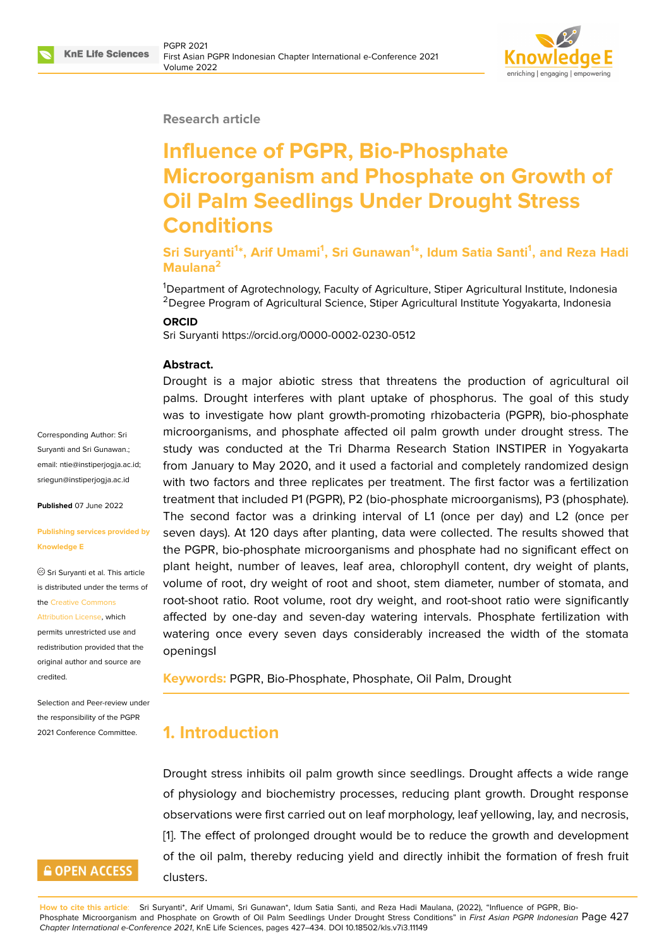### **Research article**

# **Influence of PGPR, Bio-Phosphate Microorganism and Phosphate on Growth of Oil Palm Seedlings Under Drought Stress Conditions**

**Sri Suryanti<sup>1</sup> \*, Arif Umami<sup>1</sup> , Sri Gunawan<sup>1</sup> \*, Idum Satia Santi<sup>1</sup> , and Reza Hadi Maulana<sup>2</sup>**

<sup>1</sup>Department of Agrotechnology, Faculty of Agriculture, Stiper Agricultural Institute, Indonesia <sup>2</sup>Degree Program of Agricultural Science, Stiper Agricultural Institute Yogyakarta, Indonesia

### **ORCID**

Sri Suryanti https://orcid.org/0000-0002-0230-0512

#### **Abstract.**

Drought is a major abiotic stress that threatens the production of agricultural oil palms. Drought interferes with plant uptake of phosphorus. The goal of this study was to investigate how plant growth-promoting rhizobacteria (PGPR), bio-phosphate microorganisms, and phosphate affected oil palm growth under drought stress. The study was conducted at the Tri Dharma Research Station INSTIPER in Yogyakarta from January to May 2020, and it used a factorial and completely randomized design with two factors and three replicates per treatment. The first factor was a fertilization treatment that included P1 (PGPR), P2 (bio-phosphate microorganisms), P3 (phosphate). The second factor was a drinking interval of L1 (once per day) and L2 (once per seven days). At 120 days after planting, data were collected. The results showed that the PGPR, bio-phosphate microorganisms and phosphate had no significant effect on plant height, number of leaves, leaf area, chlorophyll content, dry weight of plants, volume of root, dry weight of root and shoot, stem diameter, number of stomata, and root-shoot ratio. Root volume, root dry weight, and root-shoot ratio were significantly affected by one-day and seven-day watering intervals. Phosphate fertilization with watering once every seven days considerably increased the width of the stomata openingsI

**Keywords:** PGPR, Bio-Phosphate, Phosphate, Oil Palm, Drought

## **1. Introduction**

Drought stress inhibits oil palm growth since seedlings. Drought affects a wide range of physiology and biochemistry processes, reducing plant growth. Drought response observations were first carried out on leaf morphology, leaf yellowing, lay, and necrosis, [1]. The effect of prolonged drought would be to reduce the growth and development of the oil palm, thereby reducing yield and directly inhibit the formation of fresh fruit clusters.

Corresponding Author: Sri Suryanti and Sri Gunawan.; email: ntie@instiperjogja.ac.id; sriegun@instiperjogja.ac.id

**Published** 07 June 2022

### **[Publishing services provid](mailto:sriegun@instiperjogja.ac.id)ed by Knowledge E**

Sri Suryanti et al. This article is distributed under the terms of the Creative Commons

Attribution License, which permits unrestricted use and redistribution provided that the

orig[inal author and sou](https://creativecommons.org/licenses/by/4.0/)rce are [credited.](https://creativecommons.org/licenses/by/4.0/)

Selection and Peer-review under the responsibility of the PGPR 2021 Conference Committee.

## **GOPEN ACCESS**

**How to cite this article**: Sri Suryanti\*, Arif Umami, Sri Gunawan\*, Idum Satia Santi, and Reza Hadi Maulana, (2022), "Influence of PGPR, Bio-Phosphate Microorganism and Phosphate on Growth of Oil Palm Seedlings Under Drought Stress Conditions" in *First Asian PGPR Indonesian* Page 427 *Chapter International e-Conference 2021*, KnE Life Sciences, pages 427–434. DOI 10.18502/kls.v7i3.11149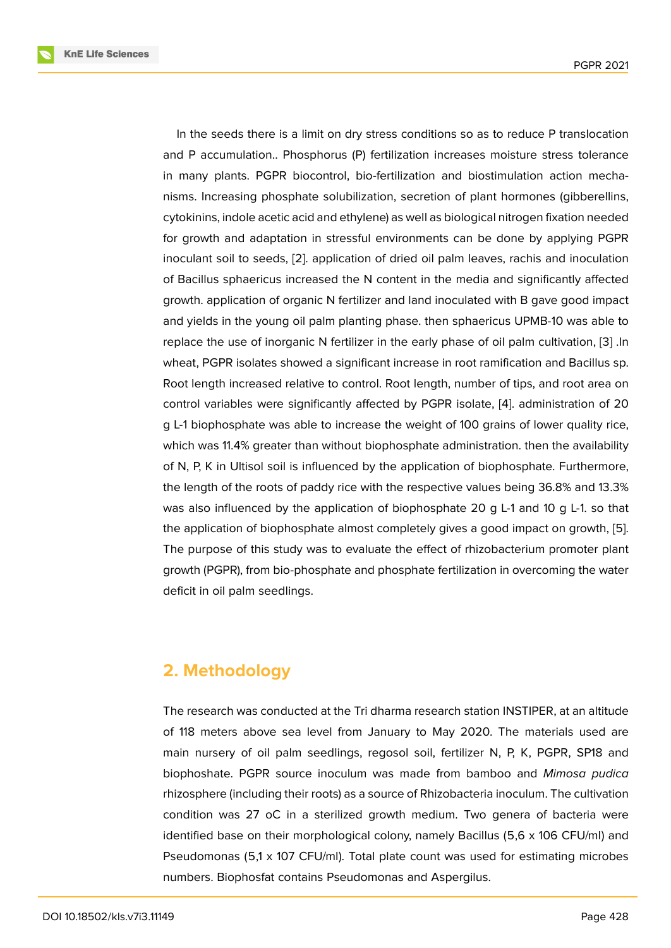In the seeds there is a limit on dry stress conditions so as to reduce P translocation and P accumulation.. Phosphorus (P) fertilization increases moisture stress tolerance in many plants. PGPR biocontrol, bio-fertilization and biostimulation action mechanisms. Increasing phosphate solubilization, secretion of plant hormones (gibberellins, cytokinins, indole acetic acid and ethylene) as well as biological nitrogen fixation needed for growth and adaptation in stressful environments can be done by applying PGPR inoculant soil to seeds, [2]. application of dried oil palm leaves, rachis and inoculation of Bacillus sphaericus increased the N content in the media and significantly affected growth. application of organic N fertilizer and land inoculated with B gave good impact and yields in the young [oil](#page-6-0) palm planting phase. then sphaericus UPMB-10 was able to replace the use of inorganic N fertilizer in the early phase of oil palm cultivation, [3] .In wheat, PGPR isolates showed a significant increase in root ramification and Bacillus sp. Root length increased relative to control. Root length, number of tips, and root area on control variables were significantly affected by PGPR isolate, [4]. administration [of](#page-6-1) 20 g L-1 biophosphate was able to increase the weight of 100 grains of lower quality rice, which was 11.4% greater than without biophosphate administration. then the availability of N, P, K in Ultisol soil is influenced by the application of biop[ho](#page-6-2)sphate. Furthermore, the length of the roots of paddy rice with the respective values being 36.8% and 13.3% was also influenced by the application of biophosphate 20 g L-1 and 10 g L-1. so that the application of biophosphate almost completely gives a good impact on growth, [5]. The purpose of this study was to evaluate the effect of rhizobacterium promoter plant growth (PGPR), from bio-phosphate and phosphate fertilization in overcoming the water deficit in oil palm seedlings.

## **2. Methodology**

The research was conducted at the Tri dharma research station INSTIPER, at an altitude of 118 meters above sea level from January to May 2020. The materials used are main nursery of oil palm seedlings, regosol soil, fertilizer N, P, K, PGPR, SP18 and biophoshate. PGPR source inoculum was made from bamboo and *Mimosa pudica* rhizosphere (including their roots) as a source of Rhizobacteria inoculum. The cultivation condition was 27 oC in a sterilized growth medium. Two genera of bacteria were identified base on their morphological colony, namely Bacillus (5,6 x 106 CFU/ml) and Pseudomonas (5,1 x 107 CFU/ml). Total plate count was used for estimating microbes numbers. Biophosfat contains Pseudomonas and Aspergilus.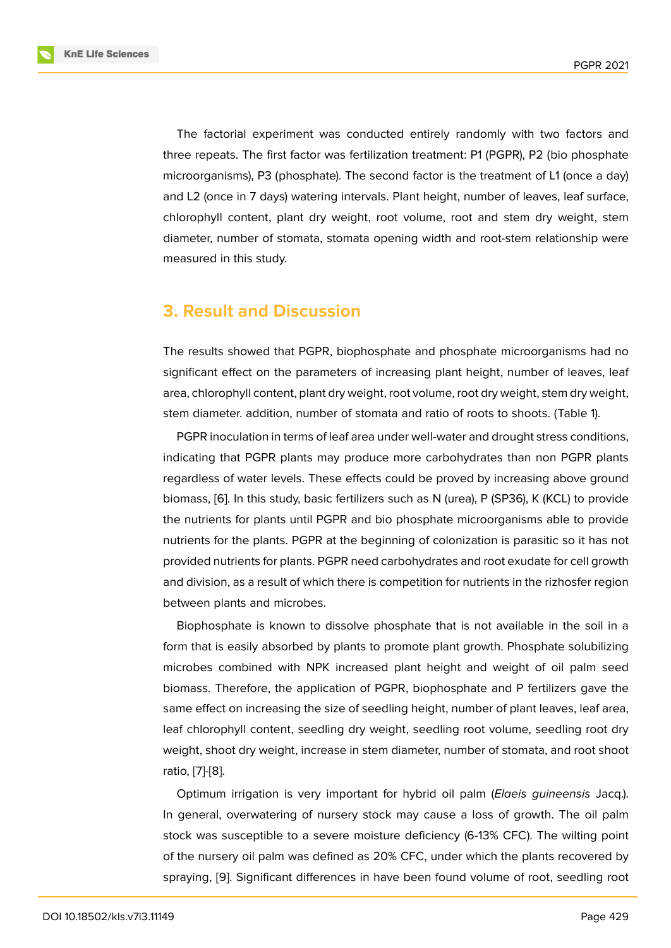The factorial experiment was conducted entirely randomly with two factors and three repeats. The first factor was fertilization treatment: P1 (PGPR), P2 (bio phosphate microorganisms), P3 (phosphate). The second factor is the treatment of L1 (once a day) and L2 (once in 7 days) watering intervals. Plant height, number of leaves, leaf surface, chlorophyll content, plant dry weight, root volume, root and stem dry weight, stem diameter, number of stomata, stomata opening width and root-stem relationship were measured in this study.

## **3. Result and Discussion**

The results showed that PGPR, biophosphate and phosphate microorganisms had no significant effect on the parameters of increasing plant height, number of leaves, leaf area, chlorophyll content, plant dry weight, root volume, root dry weight, stem dry weight, stem diameter. addition, number of stomata and ratio of roots to shoots. (Table 1).

PGPR inoculation in terms of leaf area under well-water and drought stress conditions, indicating that PGPR plants may produce more carbohydrates than non PGPR plants regardless of water levels. These effects could be proved by increasing above ground biomass, [6]. In this study, basic fertilizers such as N (urea), P (SP36), K (KCL) to provide the nutrients for plants until PGPR and bio phosphate microorganisms able to provide nutrients for the plants. PGPR at the beginning of colonization is parasitic so it has not provided [nu](#page-6-3)trients for plants. PGPR need carbohydrates and root exudate for cell growth and division, as a result of which there is competition for nutrients in the rizhosfer region between plants and microbes.

Biophosphate is known to dissolve phosphate that is not available in the soil in a form that is easily absorbed by plants to promote plant growth. Phosphate solubilizing microbes combined with NPK increased plant height and weight of oil palm seed biomass. Therefore, the application of PGPR, biophosphate and P fertilizers gave the same effect on increasing the size of seedling height, number of plant leaves, leaf area, leaf chlorophyll content, seedling dry weight, seedling root volume, seedling root dry weight, shoot dry weight, increase in stem diameter, number of stomata, and root shoot ratio, [7]-[8].

Optimum irrigation is very important for hybrid oil palm (*Elaeis guineensis* Jacq.). In general, overwatering of nursery stock may cause a loss of growth. The oil palm stock [w](#page-6-4)a[s](#page-6-5) susceptible to a severe moisture deficiency (6-13% CFC). The wilting point of the nursery oil palm was defined as 20% CFC, under which the plants recovered by spraying, [9]. Significant differences in have been found volume of root, seedling root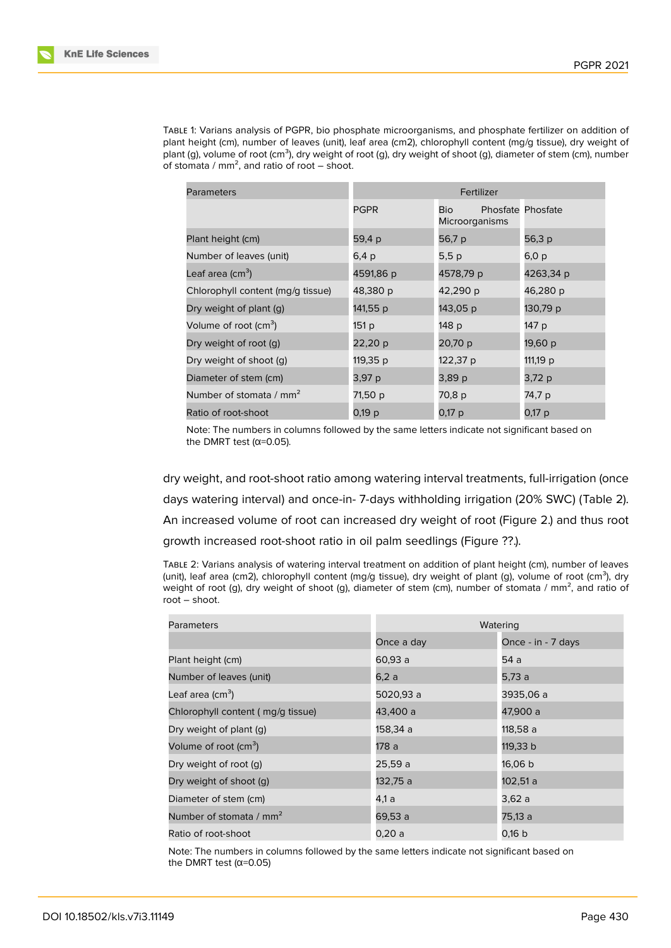Table 1: Varians analysis of PGPR, bio phosphate microorganisms, and phosphate fertilizer on addition of plant height (cm), number of leaves (unit), leaf area (cm2), chlorophyll content (mg/g tissue), dry weight of plant (g), volume of root (cm<sup>3</sup>), dry weight of root (g), dry weight of shoot (g), diameter of stem (cm), number of stomata /  $mm^2$ , and ratio of root – shoot.

| Parameters                          | Fertilizer  |                       |                          |  |
|-------------------------------------|-------------|-----------------------|--------------------------|--|
|                                     | <b>PGPR</b> | Bio<br>Microorganisms | <b>Phosfate Phosfate</b> |  |
| Plant height (cm)                   | 59,4 p      | 56,7 p                | 56,3 p                   |  |
| Number of leaves (unit)             | 6,4 p       | 5,5 p                 | 6,0 p                    |  |
| Leaf area (cm <sup>3</sup> )        | 4591,86 p   | 4578,79 p             | 4263,34 p                |  |
| Chlorophyll content (mg/g tissue)   | 48,380 p    | 42,290 p              | 46,280 p                 |  |
| Dry weight of plant (q)             | 141,55 p    | 143,05 p              | 130,79 p                 |  |
| Volume of root (cm <sup>3</sup> )   | 151 p       | 148 p                 | 147 p                    |  |
| Dry weight of root (g)              | 22,20 p     | 20,70 p               | 19,60 p                  |  |
| Dry weight of shoot (q)             | 119,35 p    | 122,37 p              | 111,19 p                 |  |
| Diameter of stem (cm)               | 3,97 p      | 3,89 p                | 3,72 p                   |  |
| Number of stomata / mm <sup>2</sup> | 71,50 p     | 70,8 p                | 74,7 p                   |  |
| Ratio of root-shoot                 | 0,19 p      | 0,17 p                | 0,17 p                   |  |

Note: The numbers in columns followed by the same letters indicate not significant based on the DMRT test ( $α=0.05$ ).

dry weight, and root-shoot ratio among watering interval treatments, full-irrigation (once days watering interval) and once-in- 7-days withholding irrigation (20% SWC) (Table 2). An increased volume of root can increased dry weight of root (Figure 2.) and thus root growth increased root-shoot ratio in oil palm seedlings (Figure ??.).

Table 2: Varians analysis of watering interval treatment on addition of plant height (cm), number of leaves (unit), leaf area (cm2), chlorophyll content (mg/g tissue), dry weight of plant (g), volu[me](#page-5-0) of root (cm<sup>3</sup>), dry weight of root (g), dry weight of shoot (g), diameter of stem (cm), number of stomata /  $mm<sup>2</sup>$ , and ratio of root – shoot.

| <b>Parameters</b>                   | Watering   |                    |  |
|-------------------------------------|------------|--------------------|--|
|                                     | Once a day | Once - in - 7 days |  |
| Plant height (cm)                   | 60,93 a    | 54 a               |  |
| Number of leaves (unit)             | 6.2a       | 5,73 a             |  |
| Leaf area (cm <sup>3</sup> )        | 5020,93 a  | 3935,06 a          |  |
| Chlorophyll content (mg/g tissue)   | 43,400 a   | 47,900 a           |  |
| Dry weight of plant (g)             | 158,34 a   | 118,58 a           |  |
| Volume of root (cm <sup>3</sup> )   | 178 a      | 119,33 b           |  |
| Dry weight of root (g)              | 25,59 a    | 16,06 b            |  |
| Dry weight of shoot (g)             | 132,75 a   | 102,51 a           |  |
| Diameter of stem (cm)               | 4,1 a      | 3,62 a             |  |
| Number of stomata / mm <sup>2</sup> | 69,53 a    | 75,13 a            |  |
| Ratio of root-shoot                 | 0,20a      | 0,16 b             |  |

Note: The numbers in columns followed by the same letters indicate not significant based on the DMRT test ( $\alpha$ =0.05)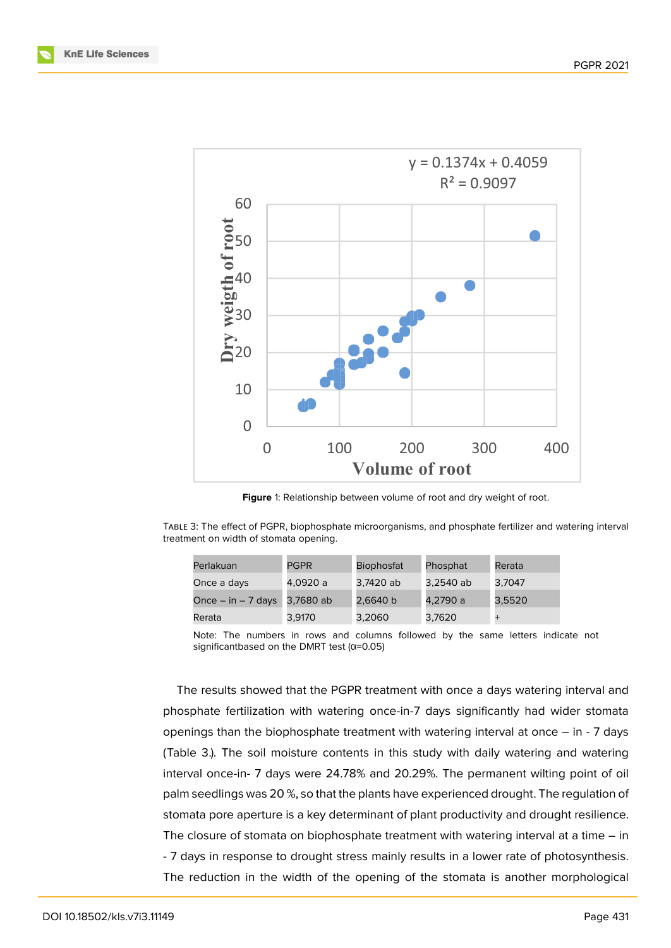



Figure 1: Relationship between volume of root and dry weight of root.

Table 3: The effect of PGPR, biophosphate microorganisms, and phosphate fertilizer and watering interval treatment on width of stomata opening.

| Perlakuan              | <b>PGPR</b> | <b>Biophosfat</b> | Phosphat  | Rerata |
|------------------------|-------------|-------------------|-----------|--------|
| Once a days            | 4.0920 a    | 3.7420 ab         | 3.2540 ab | 3.7047 |
| Once $-$ in $-$ 7 days | 3,7680 ab   | 2,6640 b          | 4.2790 a  | 3.5520 |
| Rerata                 | 3,9170      | 3,2060            | 3,7620    |        |

Note: The numbers in rows and columns followed by the same letters indicate not significantbased on the DMRT test ( $\alpha$ =0.05)

The results showed that the PGPR treatment with once a days watering interval and phosphate fertilization with watering once-in-7 days significantly had wider stomata openings than the biophosphate treatment with watering interval at once – in - 7 days (Table 3.). The soil moisture contents in this study with daily watering and watering interval once-in- 7 days were 24.78% and 20.29%. The permanent wilting point of oil palm seedlings was 20 %, so that the plants have experienced drought. The regulation of stomata pore aperture is a key determinant of plant productivity and drought resilience. The closure of stomata on biophosphate treatment with watering interval at a time – in - 7 days in response to drought stress mainly results in a lower rate of photosynthesis. The reduction in the width of the opening of the stomata is another morphological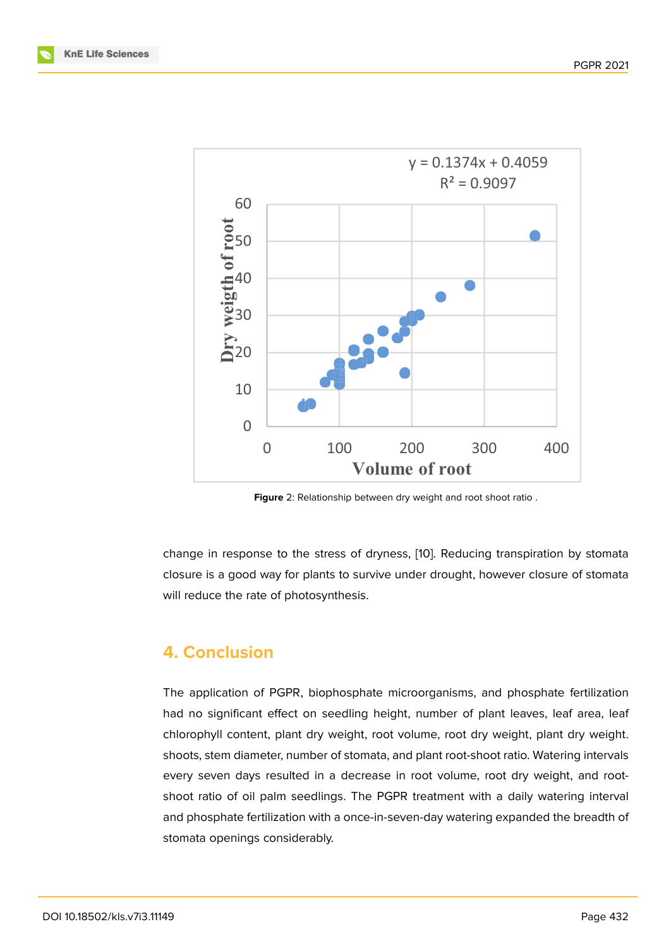

<span id="page-5-0"></span>**Figure** 2: Relationship between dry weight and root shoot ratio .

change in response to the stress of dryness, [10]. Reducing transpiration by stomata closure is a good way for plants to survive under drought, however closure of stomata will reduce the rate of photosynthesis.

## **4. Conclusion**

The application of PGPR, biophosphate microorganisms, and phosphate fertilization had no significant effect on seedling height, number of plant leaves, leaf area, leaf chlorophyll content, plant dry weight, root volume, root dry weight, plant dry weight. shoots, stem diameter, number of stomata, and plant root-shoot ratio. Watering intervals every seven days resulted in a decrease in root volume, root dry weight, and rootshoot ratio of oil palm seedlings. The PGPR treatment with a daily watering interval and phosphate fertilization with a once-in-seven-day watering expanded the breadth of stomata openings considerably.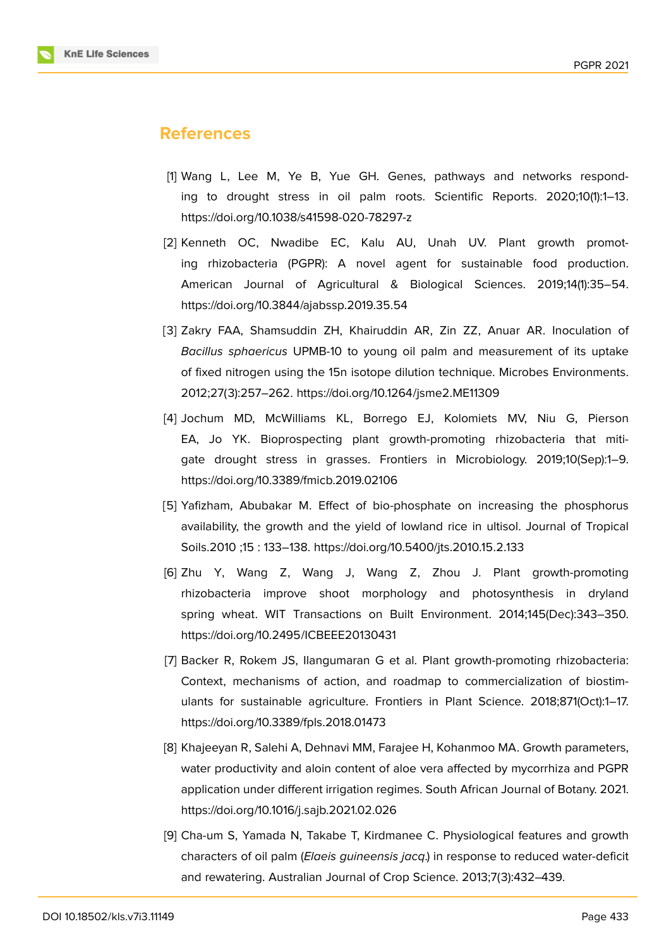

### **References**

- [1] Wang L, Lee M, Ye B, Yue GH. Genes, pathways and networks responding to drought stress in oil palm roots. Scientific Reports. 2020;10(1):1–13. https://doi.org/10.1038/s41598-020-78297-z
- <span id="page-6-0"></span>[2] Kenneth OC, Nwadibe EC, Kalu AU, Unah UV. Plant growth promoting rhizobacteria (PGPR): A novel agent for sustainable food production. American Journal of Agricultural & Biological Sciences. 2019;14(1):35–54. https://doi.org/10.3844/ajabssp.2019.35.54
- <span id="page-6-1"></span>[3] Zakry FAA, Shamsuddin ZH, Khairuddin AR, Zin ZZ, Anuar AR. Inoculation of *Bacillus sphaericus* UPMB-10 to young oil palm and measurement of its uptake of fixed nitrogen using the 15n isotope dilution technique. Microbes Environments. 2012;27(3):257–262. https://doi.org/10.1264/jsme2.ME11309
- <span id="page-6-2"></span>[4] Jochum MD, McWilliams KL, Borrego EJ, Kolomiets MV, Niu G, Pierson EA, Jo YK. Bioprospecting plant growth-promoting rhizobacteria that mitigate drought stress in grasses. Frontiers in Microbiology. 2019;10(Sep):1–9. https://doi.org/10.3389/fmicb.2019.02106
- [5] Yafizham, Abubakar M. Effect of bio-phosphate on increasing the phosphorus availability, the growth and the yield of lowland rice in ultisol. Journal of Tropical Soils.2010 ;15 : 133–138. https://doi.org/10.5400/jts.2010.15.2.133
- <span id="page-6-3"></span>[6] Zhu Y, Wang Z, Wang J, Wang Z, Zhou J. Plant growth-promoting rhizobacteria improve shoot morphology and photosynthesis in dryland spring wheat. WIT Transactions on Built Environment. 2014;145(Dec):343–350. https://doi.org/10.2495/ICBEEE20130431
- <span id="page-6-4"></span>[7] Backer R, Rokem JS, Ilangumaran G et al. Plant growth-promoting rhizobacteria: Context, mechanisms of action, and roadmap to commercialization of biostimulants for sustainable agriculture. Frontiers in Plant Science. 2018;871(Oct):1–17. https://doi.org/10.3389/fpls.2018.01473
- <span id="page-6-5"></span>[8] Khajeeyan R, Salehi A, Dehnavi MM, Farajee H, Kohanmoo MA. Growth parameters, water productivity and aloin content of aloe vera affected by mycorrhiza and PGPR application under different irrigation regimes. South African Journal of Botany. 2021. https://doi.org/10.1016/j.sajb.2021.02.026
- [9] Cha-um S, Yamada N, Takabe T, Kirdmanee C. Physiological features and growth characters of oil palm (*Elaeis guineensis jacq*.) in response to reduced water-deficit and rewatering. Australian Journal of Crop Science. 2013;7(3):432–439.